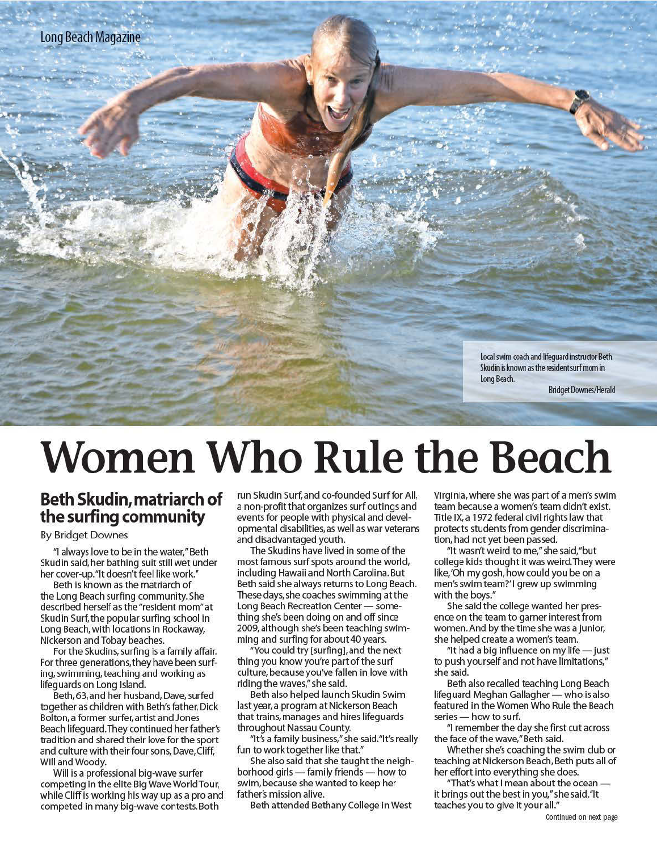Local swim coach and lifeguard instructor Beth Skudin is known as the resident surf mom in Long Beach.

**Bridget Downes/Herald** 

# **Women Who Rule the Beach**

# Beth Skudin, matriarch of<br>the surfing community

#### **By Bridget Downes**

"I always love to be in the water," Beth Skudin said, her bathing suit still wet under her cover-up."It doesn't feel like work."

Beth is known as the matriarch of the Long Beach surfing community. She described herself as the "resident mom" at Skudin Surf, the popular surfing school in Long Beach, with locations in Rockaway, Nickerson and Tobay beaches.

For the Skudins, surfing is a family affair. For three generations, they have been surfing, swimming, teaching and working as lifeguards on Long Island.

Beth, 63, and her husband, Dave, surfed together as children with Beth's father, Dick Bolton, a former surfer, artist and Jones Beach lifeguard. They continued her father's tradition and shared their love for the sport and culture with their four sons, Dave, Cliff, Will and Woody.

Will is a professional big-wave surfer competing in the elite Big Wave World Tour, while Cliff is working his way up as a pro and competed in many big-wave contests. Both

run Skudin Surf, and co-founded Surf for All, a non-profit that organizes surf outings and events for people with physical and developmental disabilities, as well as war veterans and disadvantaged youth.

The Skudins have lived in some of the most famous surf spots around the world, including Hawaii and North Carolina. But Beth said she always returns to Long Beach. These days, she coaches swimming at the Long Beach Recreation Center - something she's been doing on and off since 2009, although she's been teaching swimming and surfing for about 40 years.

"You could try [surfing], and the next thing you know you're part of the surf culture, because you've fallen in love with riding the waves," she said.

Beth also helped launch Skudin Swim last year, a program at Nickerson Beach that trains, manages and hires lifeguards throughout Nassau County.

"It's a family business," she said. "It's really fun to work together like that."

She also said that she taught the neighborhood girls — family friends — how to swim, because she wanted to keep her father's mission alive.

Beth attended Bethany College in West

Virginia, where she was part of a men's swim team because a women's team didn't exist. Title IX, a 1972 federal civil rights law that protects students from gender discrimination, had not yet been passed.

"It wasn't weird to me," she said,"but college kids thought it was weird. They were like, 'Oh my gosh, how could you be on a men's swim team?'I grew up swimming with the boys."

She said the college wanted her presence on the team to garner interest from women. And by the time she was a junior, she helped create a women's team.

"It had a big influence on my life - just to push yourself and not have limitations," she said.

Beth also recalled teaching Long Beach lifequard Meghan Gallagher - who is also featured in the Women Who Rule the Beach series - how to surf.

"I remember the day she first cut across the face of the wave," Beth said.

Whether she's coaching the swim club or teaching at Nickerson Beach, Beth puts all of her effort into everything she does.

"That's what I mean about the ocean it brings out the best in you," she said."It teaches you to give it your all."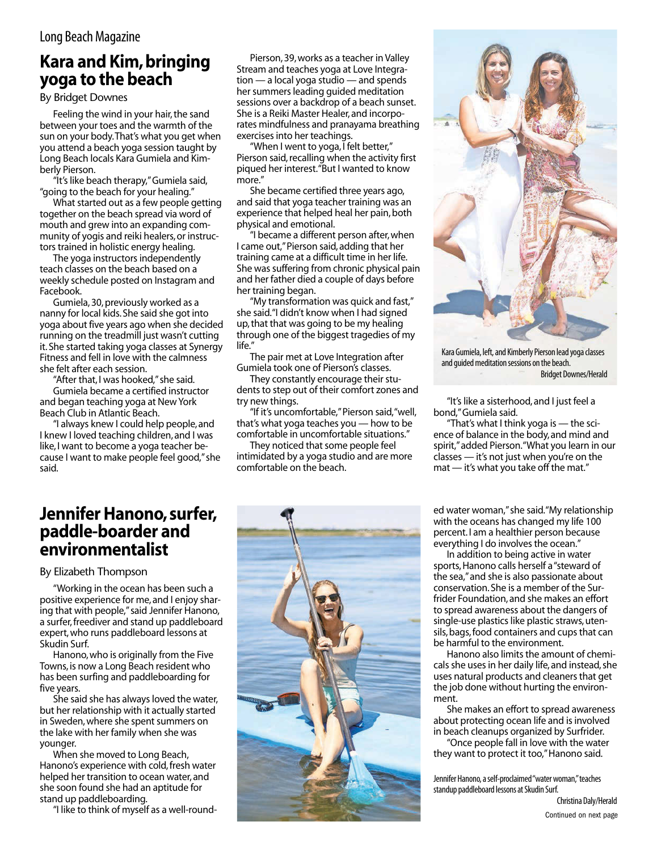## **Kara and Kim, bringing yoga to the beach**

By Bridget Downes

Feeling the wind in your hair, the sand between your toes and the warmth of the sun on your body.That's what you get when you attend a beach yoga session taught by Long Beach locals Kara Gumiela and Kimberly Pierson.

"It's like beach therapy," Gumiela said, "going to the beach for your healing."

What started out as a few people getting together on the beach spread via word of mouth and grew into an expanding community of yogis and reiki healers, or instructors trained in holistic energy healing.

The yoga instructors independently teach classes on the beach based on a weekly schedule posted on Instagram and Facebook.

 Gumiela,30,previously worked as a nanny for local kids.She said she got into yoga about five years ago when she decided running on the treadmill just wasn't cutting it.She started taking yoga classes at Synergy Fitness and fell in love with the calmness she felt after each session.

"After that, I was hooked," she said.

 Gumiela became a certified instructor and began teaching yoga at NewYork Beach Club in Atlantic Beach.

 "I always knew I could help people, and I knew I loved teaching children, and I was like, I want to become a yoga teacher because I want to make people feel good,"she said.

 Pierson,39,works as a teacher in Valley Stream and teaches yoga at Love Integration — a local yoga studio — and spends her summers leading guided meditation sessions over a backdrop of a beach sunset. She is a Reiki Master Healer, and incorporates mindfulness and pranayama breathing exercises into her teachings.

 "When I went to yoga, I felt better," Pierson said, recalling when the activity first piqued her interest."But I wanted to know more."

 She became certified three years ago, and said that yoga teacher training was an experience that helped heal her pain, both physical and emotional.

 "I became a different person after,when I came out,"Pierson said, adding that her training came at a difficult time in her life. She was suffering from chronic physical pain and her father died a couple of days before her training began.

 "My transformation was quick and fast," she said."I didn't know when I had signed up, that that was going to be my healing through one of the biggest tragedies of my life."

 The pair met at Love Integration after Gumiela took one of Pierson's classes.

They constantly encourage their students to step out of their comfort zones and try new things.

 "If it's uncomfortable,"Pierson said,"well, that's what yoga teaches you — how to be comfortable in uncomfortable situations."

They noticed that some people feel intimidated by a yoga studio and are more comfortable on the beach.



Kara Gumiela, left, and Kimberly Pierson lead yoga classes and guided meditation sessions on the beach. Bridget Downes/Herald

"It's like a sisterhood, and I just feel a bond,"Gumiela said.

 "That's what I think yoga is — the science of balance in the body, and mind and spirit,"added Pierson."What you learn in our classes — it's not just when you're on the mat — it's what you take off the mat."

#### **Jennifer Hanono, surfer, paddle-boarder and environmentalist**

By Elizabeth Thompson

"Working in the ocean has been such a positive experience for me, and I enjoy sharing that with people,"said Jennifer Hanono, a surfer,freediver and stand up paddleboard expert,who runs paddleboard lessons at Skudin Surf.

 Hanono,who is originally from the Five Towns, is now a Long Beach resident who has been surfing and paddleboarding for five years.

She said she has always loved the water, but her relationship with it actually started in Sweden, where she spent summers on the lake with her family when she was younger.

 When she moved to Long Beach, Hanono's experience with cold, fresh water helped her transition to ocean water, and she soon found she had an aptitude for stand up paddleboarding.

 "I like to think of myself as a well-round-



ed water woman,"she said."My relationship with the oceans has changed my life 100 percent.I am a healthier person because everything I do involves the ocean."

 In addition to being active in water sports, Hanono calls herself a "steward of the sea,"and she is also passionate about conservation.She is a member of the Surfrider Foundation, and she makes an effort to spread awareness about the dangers of single-use plastics like plastic straws, utensils, bags, food containers and cups that can be harmful to the environment.

Hanono also limits the amount of chemicals she uses in her daily life, and instead, she uses natural products and cleaners that get the job done without hurting the environment.

 She makes an effort to spread awareness about protecting ocean life and is involved in beach cleanups organized by Surfrider.

 "Once people fall in love with the water they want to protect it too,"Hanono said.

Jennifer Hanono, a self-proclaimed "water woman," teaches standup paddleboard lessons at Skudin Surf.

Christina Daly/Herald